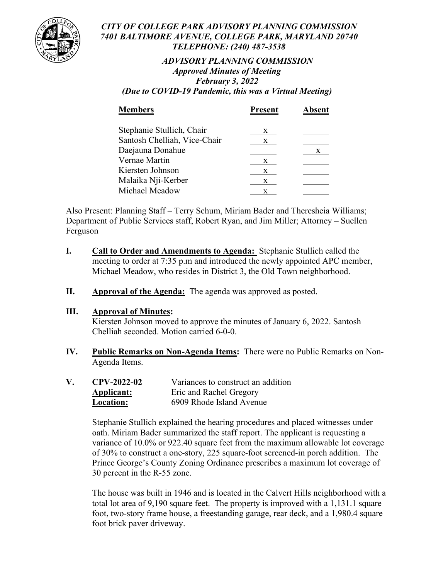

### *CITY OF COLLEGE PARK ADVISORY PLANNING COMMISSION 7401 BALTIMORE AVENUE, COLLEGE PARK, MARYLAND 20740 TELEPHONE: (240) 487-3538*

# *ADVISORY PLANNING COMMISSION Approved Minutes of Meeting February 3, 2022*

*(Due to COVID-19 Pandemic, this was a Virtual Meeting)*

| <b>Members</b>               | <b>Present</b> | <b>Absent</b> |
|------------------------------|----------------|---------------|
| Stephanie Stullich, Chair    | X              |               |
| Santosh Chelliah, Vice-Chair | X.             |               |
| Daejauna Donahue             |                | X             |
| Vernae Martin                | X              |               |
| Kiersten Johnson             | X              |               |
| Malaika Nji-Kerber           | x              |               |
| Michael Meadow               | x              |               |
|                              |                |               |

Also Present: Planning Staff – Terry Schum, Miriam Bader and Theresheia Williams; Department of Public Services staff, Robert Ryan, and Jim Miller; Attorney – Suellen Ferguson

- **I. Call to Order and Amendments to Agenda:** Stephanie Stullich called the meeting to order at 7:35 p.m and introduced the newly appointed APC member, Michael Meadow, who resides in District 3, the Old Town neighborhood.
- **II. Approval of the Agenda:** The agenda was approved as posted.

## **III. Approval of Minutes:**

Kiersten Johnson moved to approve the minutes of January 6, 2022. Santosh Chelliah seconded. Motion carried 6-0-0.

- **IV. Public Remarks on Non-Agenda Items:** There were no Public Remarks on Non-Agenda Items.
- **V. CPV-2022-02** Variances to construct an addition **Applicant:** Eric and Rachel Gregory **Location:** 6909 Rhode Island Avenue

Stephanie Stullich explained the hearing procedures and placed witnesses under oath. Miriam Bader summarized the staff report. The applicant is requesting a variance of 10.0% or 922.40 square feet from the maximum allowable lot coverage of 30% to construct a one-story, 225 square-foot screened-in porch addition. The Prince George's County Zoning Ordinance prescribes a maximum lot coverage of 30 percent in the R-55 zone.

The house was built in 1946 and is located in the Calvert Hills neighborhood with a total lot area of 9,190 square feet. The property is improved with a 1,131.1 square foot, two-story frame house, a freestanding garage, rear deck, and a 1,980.4 square foot brick paver driveway.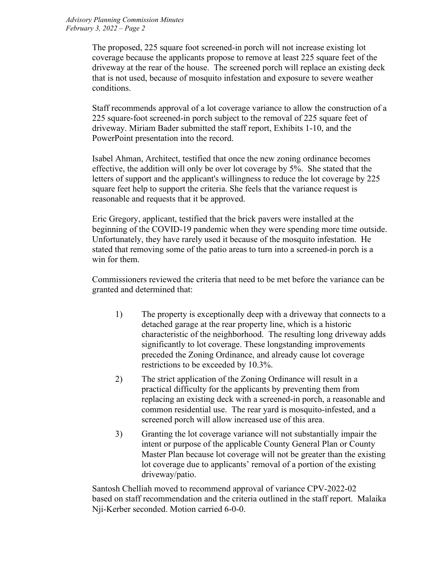The proposed, 225 square foot screened-in porch will not increase existing lot coverage because the applicants propose to remove at least 225 square feet of the driveway at the rear of the house. The screened porch will replace an existing deck that is not used, because of mosquito infestation and exposure to severe weather conditions.

Staff recommends approval of a lot coverage variance to allow the construction of a 225 square-foot screened-in porch subject to the removal of 225 square feet of driveway. Miriam Bader submitted the staff report, Exhibits 1-10, and the PowerPoint presentation into the record.

Isabel Ahman, Architect, testified that once the new zoning ordinance becomes effective, the addition will only be over lot coverage by 5%. She stated that the letters of support and the applicant's willingness to reduce the lot coverage by 225 square feet help to support the criteria. She feels that the variance request is reasonable and requests that it be approved.

Eric Gregory, applicant, testified that the brick pavers were installed at the beginning of the COVID-19 pandemic when they were spending more time outside. Unfortunately, they have rarely used it because of the mosquito infestation. He stated that removing some of the patio areas to turn into a screened-in porch is a win for them.

Commissioners reviewed the criteria that need to be met before the variance can be granted and determined that:

- 1) The property is exceptionally deep with a driveway that connects to a detached garage at the rear property line, which is a historic characteristic of the neighborhood. The resulting long driveway adds significantly to lot coverage. These longstanding improvements preceded the Zoning Ordinance, and already cause lot coverage restrictions to be exceeded by 10.3%.
- 2) The strict application of the Zoning Ordinance will result in a practical difficulty for the applicants by preventing them from replacing an existing deck with a screened-in porch, a reasonable and common residential use. The rear yard is mosquito-infested, and a screened porch will allow increased use of this area.
- 3) Granting the lot coverage variance will not substantially impair the intent or purpose of the applicable County General Plan or County Master Plan because lot coverage will not be greater than the existing lot coverage due to applicants' removal of a portion of the existing driveway/patio.

Santosh Chelliah moved to recommend approval of variance CPV-2022-02 based on staff recommendation and the criteria outlined in the staff report. Malaika Nji-Kerber seconded. Motion carried 6-0-0.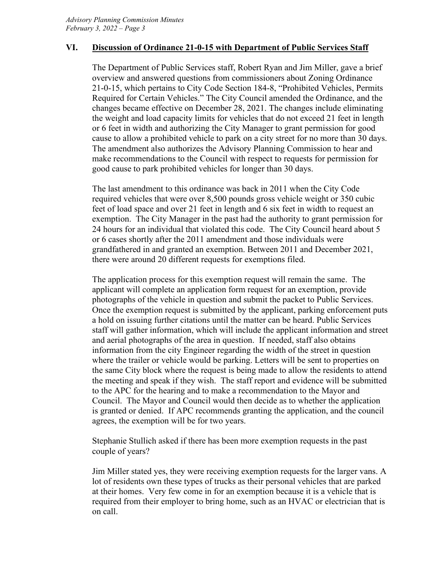### **VI. Discussion of Ordinance 21-0-15 with Department of Public Services Staff**

The Department of Public Services staff, Robert Ryan and Jim Miller, gave a brief overview and answered questions from commissioners about Zoning Ordinance 21-0-15, which pertains to City Code Section 184-8, "Prohibited Vehicles, Permits Required for Certain Vehicles." The City Council amended the Ordinance, and the changes became effective on December 28, 2021. The changes include eliminating the weight and load capacity limits for vehicles that do not exceed 21 feet in length or 6 feet in width and authorizing the City Manager to grant permission for good cause to allow a prohibited vehicle to park on a city street for no more than 30 days. The amendment also authorizes the Advisory Planning Commission to hear and make recommendations to the Council with respect to requests for permission for good cause to park prohibited vehicles for longer than 30 days.

The last amendment to this ordinance was back in 2011 when the City Code required vehicles that were over 8,500 pounds gross vehicle weight or 350 cubic feet of load space and over 21 feet in length and 6 six feet in width to request an exemption. The City Manager in the past had the authority to grant permission for 24 hours for an individual that violated this code. The City Council heard about 5 or 6 cases shortly after the 2011 amendment and those individuals were grandfathered in and granted an exemption. Between 2011 and December 2021, there were around 20 different requests for exemptions filed.

The application process for this exemption request will remain the same. The applicant will complete an application form request for an exemption, provide photographs of the vehicle in question and submit the packet to Public Services. Once the exemption request is submitted by the applicant, parking enforcement puts a hold on issuing further citations until the matter can be heard. Public Services staff will gather information, which will include the applicant information and street and aerial photographs of the area in question. If needed, staff also obtains information from the city Engineer regarding the width of the street in question where the trailer or vehicle would be parking. Letters will be sent to properties on the same City block where the request is being made to allow the residents to attend the meeting and speak if they wish. The staff report and evidence will be submitted to the APC for the hearing and to make a recommendation to the Mayor and Council. The Mayor and Council would then decide as to whether the application is granted or denied. If APC recommends granting the application, and the council agrees, the exemption will be for two years.

Stephanie Stullich asked if there has been more exemption requests in the past couple of years?

Jim Miller stated yes, they were receiving exemption requests for the larger vans. A lot of residents own these types of trucks as their personal vehicles that are parked at their homes. Very few come in for an exemption because it is a vehicle that is required from their employer to bring home, such as an HVAC or electrician that is on call.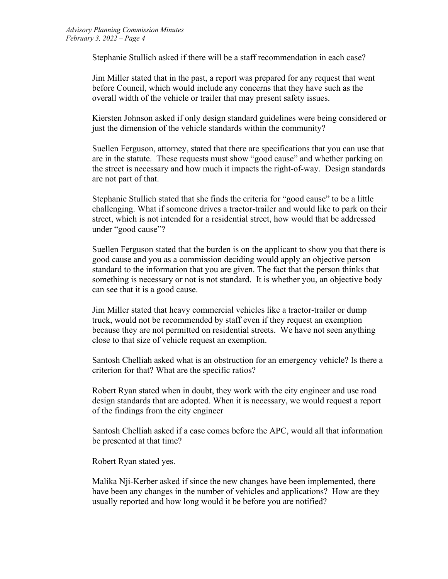Stephanie Stullich asked if there will be a staff recommendation in each case?

Jim Miller stated that in the past, a report was prepared for any request that went before Council, which would include any concerns that they have such as the overall width of the vehicle or trailer that may present safety issues.

Kiersten Johnson asked if only design standard guidelines were being considered or just the dimension of the vehicle standards within the community?

Suellen Ferguson, attorney, stated that there are specifications that you can use that are in the statute. These requests must show "good cause" and whether parking on the street is necessary and how much it impacts the right-of-way. Design standards are not part of that.

Stephanie Stullich stated that she finds the criteria for "good cause" to be a little challenging. What if someone drives a tractor-trailer and would like to park on their street, which is not intended for a residential street, how would that be addressed under "good cause"?

Suellen Ferguson stated that the burden is on the applicant to show you that there is good cause and you as a commission deciding would apply an objective person standard to the information that you are given. The fact that the person thinks that something is necessary or not is not standard. It is whether you, an objective body can see that it is a good cause.

Jim Miller stated that heavy commercial vehicles like a tractor-trailer or dump truck, would not be recommended by staff even if they request an exemption because they are not permitted on residential streets. We have not seen anything close to that size of vehicle request an exemption.

Santosh Chelliah asked what is an obstruction for an emergency vehicle? Is there a criterion for that? What are the specific ratios?

Robert Ryan stated when in doubt, they work with the city engineer and use road design standards that are adopted. When it is necessary, we would request a report of the findings from the city engineer

Santosh Chelliah asked if a case comes before the APC, would all that information be presented at that time?

Robert Ryan stated yes.

Malika Nji-Kerber asked if since the new changes have been implemented, there have been any changes in the number of vehicles and applications? How are they usually reported and how long would it be before you are notified?